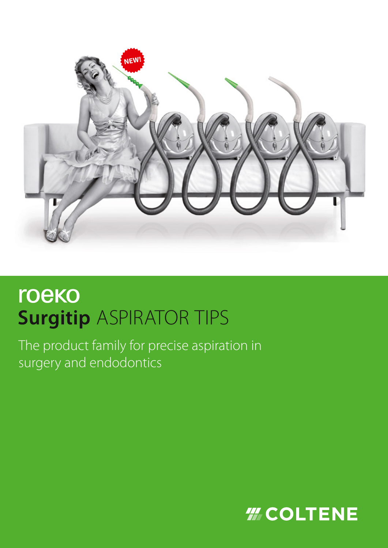

# roeko **Surgitip ASPIRATOR TIPS**

The product family for precise aspiration in surgery and endodontics

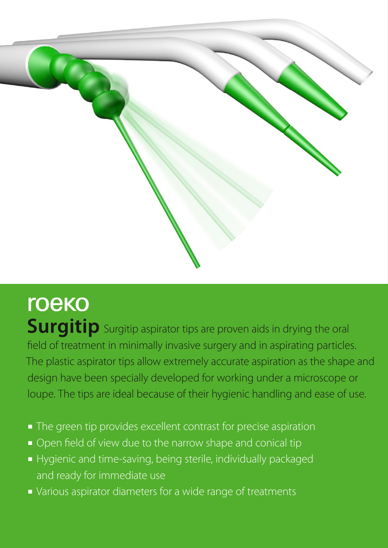

roeko Surgitip Surgitip aspirator tips are proven aids in drying the oral field of treatment in minimally invasive surgery and in aspirating particles. The plastic aspirator tips allow extremely accurate aspiration as the shape and design have been specially developed for working under a microscope or loupe. The tips are ideal because of their hygienic handling and ease of use.

- The green tip provides excellent contrast for precise aspiration
- Open field of view due to the narrow shape and conical tip
- Hygienic and time-saving, being sterile, individually packaged and ready for immediate use
- Various aspirator diameters for a wide range of treatments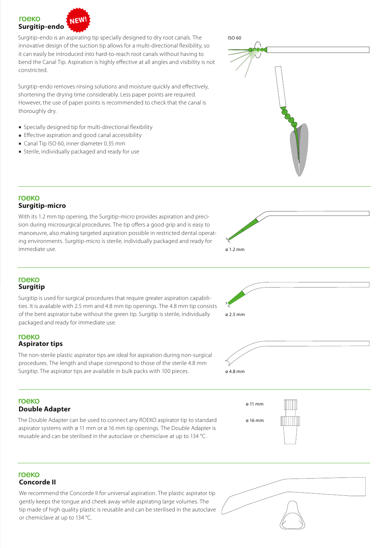### roeko **NEW! Surgitip-endo**

Surgitip-endo is an aspirating tip specially designed to dry root canals. The innovative design of the suction tip allows for a multi-directional flexibility, so it can easily be introduced into hard-to-reach root canals without having to bend the Canal Tip. Aspiration is highly effective at all angles and visibility is not constricted.

Surgitip-endo removes rinsing solutions and moisture quickly and effectively, shortening the drying time considerably. Less paper points are required. However, the use of paper points is recommended to check that the canal is thoroughly dry.

- Specially designed tip for multi-directional flexibility
- Effective aspiration and good canal accessibility
- Canal Tip ISO 60, inner diameter 0.35 mm
- Sterile, individually packaged and ready for use



# roeko **Surgitip-micro**

With its 1.2 mm tip opening, the Surgitip-micro provides aspiration and precision during microsurgical procedures. The tip offers a good grip and is easy to manoeuvre, also making targeted aspiration possible in restricted dental operating environments. Surgitip-micro is sterile, individually packaged and ready for immediate use.



## **roeko Surgitip**

Surgitip is used for surgical procedures that require greater aspiration capabilities. It is available with 2.5 mm and 4.8 mm tip openings. The 4.8 mm tip consists of the bent aspirator tube without the green tip. Surgitip is sterile, individually packaged and ready for immediate use.

# roeko **Aspirator tips**

The non-sterile plastic aspirator tips are ideal for aspiration during non-surgical procedures. The length and shape correspond to those of the sterile 4.8 mm Surgitip. The aspirator tips are available in bulk packs with 100 pieces.

# roeko

# **Double Adapter**

The Double Adapter can be used to connect any ROEKO aspirator tip to standard aspirator systems with ø 11 mm or ø 16 mm tip openings. The Double Adapter is reusable and can be sterilised in the autoclave or chemiclave at up to 134 °C.



ø 2.5 mm

ø 4.8 mm

## **roeko Concorde II**

We recommend the Concorde II for universal aspiration. The plastic aspirator tip gently keeps the tongue and cheek away while aspirating large volumes. The tip made of high quality plastic is reusable and can be sterilised in the autoclave or chemiclave at up to 134 °C.